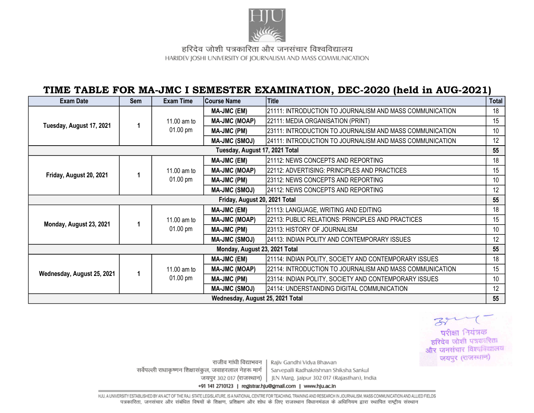

हरिदेव जोशी पत्रकारिता और जनसंचार विश्वविद्यालय HARIDEV JOSHI UNIVERSITY OF JOURNALISM AND MASS COMMUNICATION

## TIME TABLE FOR MA-JMC I SEMESTER EXAMINATION, DEC-2020 (held in AUG-2021)

| <b>Exam Date</b>                 | <b>Sem</b> | <b>Exam Time</b>                  | <b>Course Name</b>   | <b>Title</b>                                             | <b>Total</b> |  |
|----------------------------------|------------|-----------------------------------|----------------------|----------------------------------------------------------|--------------|--|
| Tuesday, August 17, 2021         |            | 11.00 am to<br>01.00 pm           | <b>MA-JMC (EM)</b>   | 21111: INTRODUCTION TO JOURNALISM AND MASS COMMUNICATION | 18           |  |
|                                  |            |                                   | <b>MA-JMC (MOAP)</b> | 22111: MEDIA ORGANISATION (PRINT)                        | 15           |  |
|                                  |            |                                   | <b>MA-JMC (PM)</b>   | 23111: INTRODUCTION TO JOURNALISM AND MASS COMMUNICATION | 10           |  |
|                                  |            |                                   | <b>MA-JMC (SMOJ)</b> | 24111: INTRODUCTION TO JOURNALISM AND MASS COMMUNICATION | 12           |  |
| Tuesday, August 17, 2021 Total   |            |                                   |                      |                                                          |              |  |
| Friday, August 20, 2021          |            | 11.00 am to<br>01.00 pm           | <b>MA-JMC (EM)</b>   | 21112: NEWS CONCEPTS AND REPORTING                       | 18           |  |
|                                  |            |                                   | <b>MA-JMC (MOAP)</b> | 22112: ADVERTISING: PRINCIPLES AND PRACTICES             | 15           |  |
|                                  |            |                                   | MA-JMC (PM)          | 23112: NEWS CONCEPTS AND REPORTING                       | 10           |  |
|                                  |            |                                   | <b>MA-JMC (SMOJ)</b> | 24112: NEWS CONCEPTS AND REPORTING                       | 12           |  |
| Friday, August 20, 2021 Total    |            |                                   |                      |                                                          |              |  |
| Monday, August 23, 2021          |            | 11.00 am to<br>$01.00 \text{ pm}$ | <b>MA-JMC (EM)</b>   | 21113: LANGUAGE, WRITING AND EDITING                     | 18           |  |
|                                  |            |                                   | <b>MA-JMC (MOAP)</b> | 22113: PUBLIC RELATIONS: PRINCIPLES AND PRACTICES        | 15           |  |
|                                  |            |                                   | MA-JMC (PM)          | 23113: HISTORY OF JOURNALISM                             | 10           |  |
|                                  |            |                                   | <b>MA-JMC (SMOJ)</b> | 24113: INDIAN POLITY AND CONTEMPORARY ISSUES             | 12           |  |
| Monday, August 23, 2021 Total    |            |                                   |                      |                                                          |              |  |
| Wednesday, August 25, 2021       | 1          | 11.00 am to<br>$01.00 \text{ pm}$ | <b>MA-JMC (EM)</b>   | 21114: INDIAN POLITY, SOCIETY AND CONTEMPORARY ISSUES    | 18           |  |
|                                  |            |                                   | <b>MA-JMC (MOAP)</b> | 22114: INTRODUCTION TO JOURNALISM AND MASS COMMUNICATION | 15           |  |
|                                  |            |                                   | MA-JMC (PM)          | 23114: INDIAN POLITY, SOCIETY AND CONTEMPORARY ISSUES    | 10           |  |
|                                  |            |                                   | <b>MA-JMC (SMOJ)</b> | 24114: UNDERSTANDING DIGITAL COMMUNICATION               | 12           |  |
| Wednesday, August 25, 2021 Total |            |                                   |                      |                                                          |              |  |

परीक्षा नियंत्रक हरिदेव जोशी पत्रकारिता और जनसंचार विश्वविद्यालय जयपुर (राजस्थान)

राजीव गांधी विद्याभवन सर्वेपल्ली राधाकृष्णन शिक्षासंकूल, जवाहरलाल नेहरू मार्ग जयपुर 302 017 (राजस्थान) |

Rajiv Gandhi Vidya Bhawan Sarvepalli Radhakrishnan Shiksha Sankul JLN Marg, Jalpur 302 017 (Rajasthan), India

+91 141 2710123 | registrar.hju@gmail.com | www.hju.ac.in

HJU, A UNIVERSITY ESTABLISHED BY AN ACT OF THE RAJ. STATE LEGISLATURE, IS A NATIONAL CENTRE FOR TEACHING, TRAINING AND RESEARCH IN JOURNALISM, MASS COMMUNICATION AND ALLIED FIELDS पत्रकारिता, जनसंचार और संबंधित विषयों के शिक्षण, प्रशिक्षण और शोध के लिए राजस्थान विधानमंडल के अधिनियम द्वारा स्थापित राष्ट्रीय संस्थान